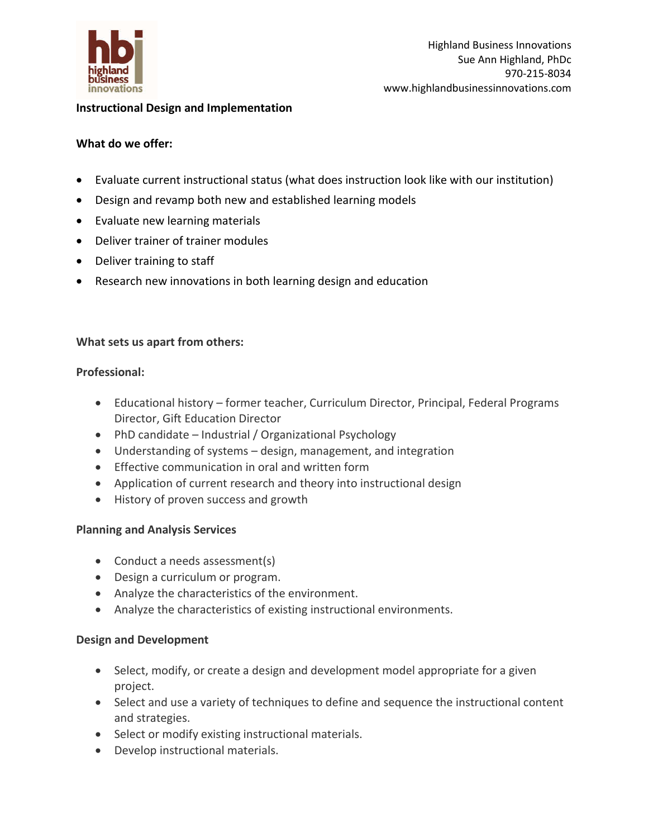

## **Instructional Design and Implementation**

## **What do we offer:**

- Evaluate current instructional status (what does instruction look like with our institution)
- Design and revamp both new and established learning models
- Evaluate new learning materials
- Deliver trainer of trainer modules
- Deliver training to staff
- Research new innovations in both learning design and education

### **What sets us apart from others:**

#### **Professional:**

- Educational history former teacher, Curriculum Director, Principal, Federal Programs Director, Gift Education Director
- PhD candidate Industrial / Organizational Psychology
- Understanding of systems design, management, and integration
- **•** Effective communication in oral and written form
- Application of current research and theory into instructional design
- History of proven success and growth

# **Planning and Analysis Services**

- Conduct a needs assessment(s)
- Design a curriculum or program.
- Analyze the characteristics of the environment.
- Analyze the characteristics of existing instructional environments.

# **Design and Development**

- Select, modify, or create a design and development model appropriate for a given project.
- Select and use a variety of techniques to define and sequence the instructional content and strategies.
- Select or modify existing instructional materials.
- Develop instructional materials.